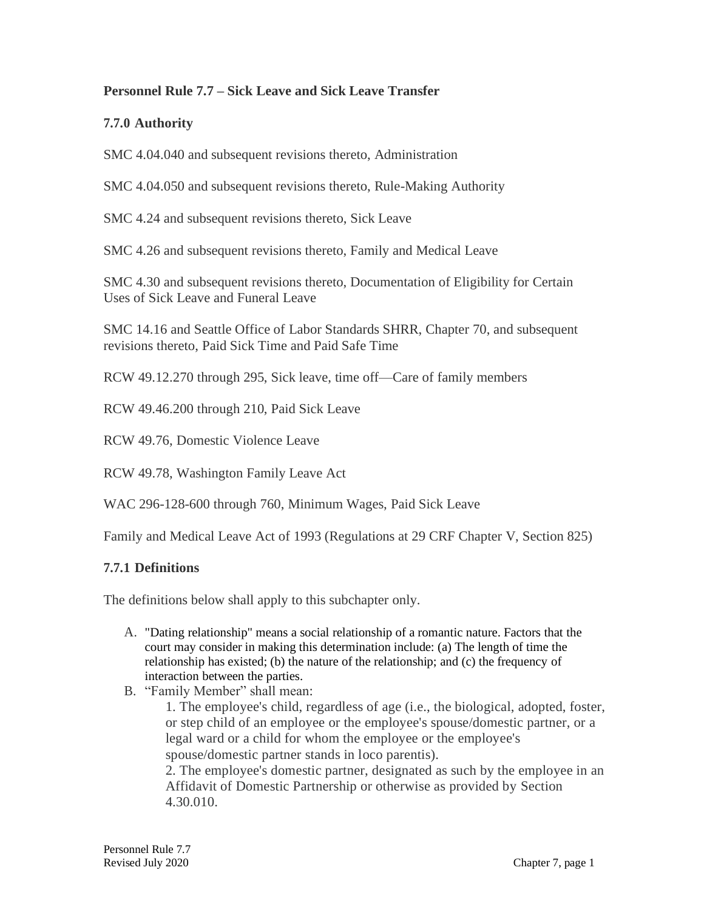### **Personnel Rule 7.7 – Sick Leave and Sick Leave Transfer**

### **7.7.0 Authority**

SMC 4.04.040 and subsequent revisions thereto, Administration

SMC 4.04.050 and subsequent revisions thereto, Rule-Making Authority

SMC 4.24 and subsequent revisions thereto, Sick Leave

SMC 4.26 and subsequent revisions thereto, Family and Medical Leave

SMC 4.30 and subsequent revisions thereto, Documentation of Eligibility for Certain Uses of Sick Leave and Funeral Leave

SMC 14.16 and Seattle Office of Labor Standards SHRR, Chapter 70, and subsequent revisions thereto, Paid Sick Time and Paid Safe Time

RCW 49.12.270 through 295, Sick leave, time off—Care of family members

RCW 49.46.200 through 210, Paid Sick Leave

RCW 49.76, Domestic Violence Leave

RCW 49.78, Washington Family Leave Act

WAC 296-128-600 through 760, Minimum Wages, Paid Sick Leave

Family and Medical Leave Act of 1993 (Regulations at 29 CRF Chapter V, Section 825)

#### **7.7.1 Definitions**

The definitions below shall apply to this subchapter only.

- A. "Dating relationship" means a social relationship of a romantic nature. Factors that the court may consider in making this determination include: (a) The length of time the relationship has existed; (b) the nature of the relationship; and (c) the frequency of interaction between the parties.
- B. "Family Member" shall mean:

1. The employee's child, regardless of age (i.e., the biological, adopted, foster, or step child of an employee or the employee's spouse/domestic partner, or a legal ward or a child for whom the employee or the employee's spouse/domestic partner stands in loco parentis).

2. The employee's domestic partner, designated as such by the employee in an Affidavit of Domestic Partnership or otherwise as provided by Section 4.30.010.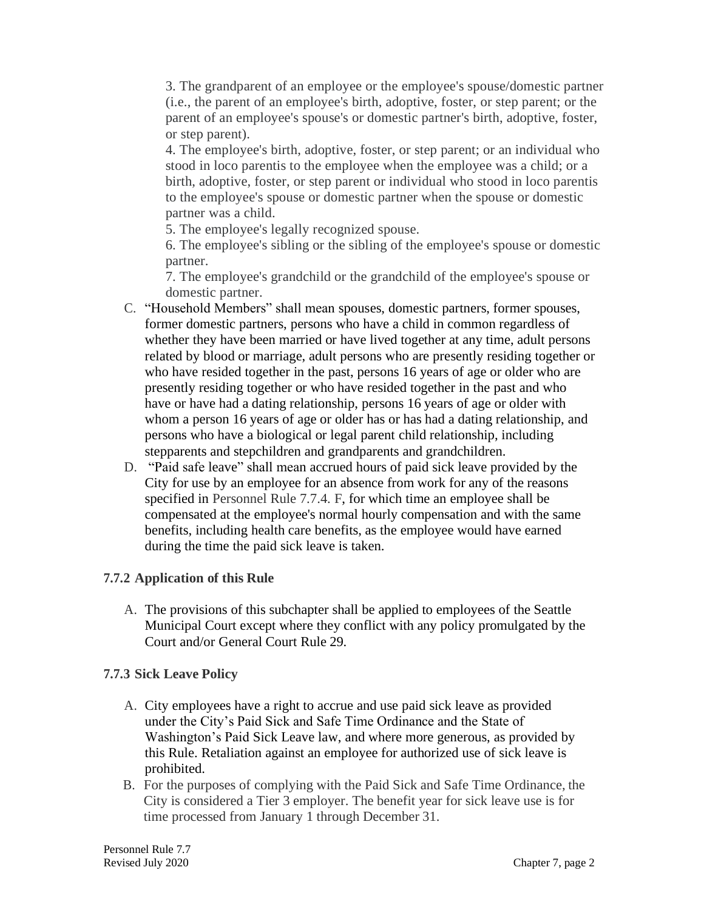3. The grandparent of an employee or the employee's spouse/domestic partner (i.e., the parent of an employee's birth, adoptive, foster, or step parent; or the parent of an employee's spouse's or domestic partner's birth, adoptive, foster, or step parent).

4. The employee's birth, adoptive, foster, or step parent; or an individual who stood in loco parentis to the employee when the employee was a child; or a birth, adoptive, foster, or step parent or individual who stood in loco parentis to the employee's spouse or domestic partner when the spouse or domestic partner was a child.

5. The employee's legally recognized spouse.

6. The employee's sibling or the sibling of the employee's spouse or domestic partner.

7. The employee's grandchild or the grandchild of the employee's spouse or domestic partner.

- C. "Household Members" shall mean spouses, domestic partners, former spouses, former domestic partners, persons who have a child in common regardless of whether they have been married or have lived together at any time, adult persons related by blood or marriage, adult persons who are presently residing together or who have resided together in the past, persons 16 years of age or older who are presently residing together or who have resided together in the past and who have or have had a dating relationship, persons 16 years of age or older with whom a person 16 years of age or older has or has had a dating relationship, and persons who have a biological or legal parent child relationship, including stepparents and stepchildren and grandparents and grandchildren.
- D. "Paid safe leave" shall mean accrued hours of paid sick leave provided by the City for use by an employee for an absence from work for any of the reasons specified in Personnel Rule 7.7.4. F, for which time an employee shall be compensated at the employee's normal hourly compensation and with the same benefits, including health care benefits, as the employee would have earned during the time the paid sick leave is taken.

# **7.7.2 Application of this Rule**

A. The provisions of this subchapter shall be applied to employees of the Seattle Municipal Court except where they conflict with any policy promulgated by the Court and/or General Court Rule 29.

#### **7.7.3 Sick Leave Policy**

- A. City employees have a right to accrue and use paid sick leave as provided under the City's Paid Sick and Safe Time Ordinance and the State of Washington's Paid Sick Leave law, and where more generous, as provided by this Rule. Retaliation against an employee for authorized use of sick leave is prohibited.
- B. For the purposes of complying with the Paid Sick and Safe Time Ordinance, the City is considered a Tier 3 employer. The benefit year for sick leave use is for time processed from January 1 through December 31.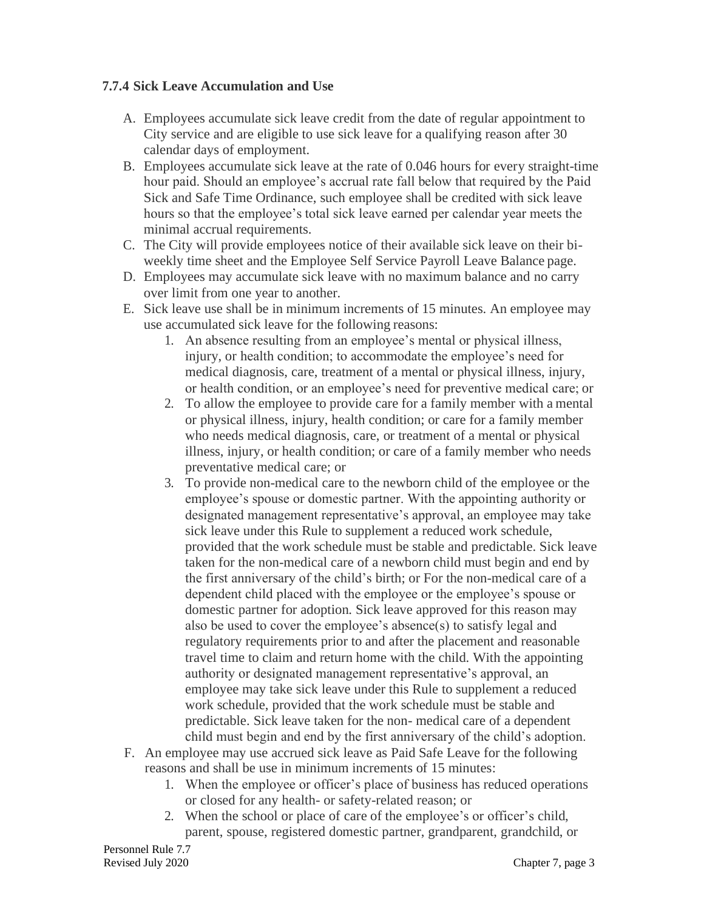### **7.7.4 Sick Leave Accumulation and Use**

- A. Employees accumulate sick leave credit from the date of regular appointment to City service and are eligible to use sick leave for a qualifying reason after 30 calendar days of employment.
- B. Employees accumulate sick leave at the rate of 0.046 hours for every straight-time hour paid. Should an employee's accrual rate fall below that required by the Paid Sick and Safe Time Ordinance, such employee shall be credited with sick leave hours so that the employee's total sick leave earned per calendar year meets the minimal accrual requirements.
- C. The City will provide employees notice of their available sick leave on their biweekly time sheet and the Employee Self Service Payroll Leave Balance page.
- D. Employees may accumulate sick leave with no maximum balance and no carry over limit from one year to another.
- E. Sick leave use shall be in minimum increments of 15 minutes. An employee may use accumulated sick leave for the following reasons:
	- 1. An absence resulting from an employee's mental or physical illness, injury, or health condition; to accommodate the employee's need for medical diagnosis, care, treatment of a mental or physical illness, injury, or health condition, or an employee's need for preventive medical care; or
	- 2. To allow the employee to provide care for a family member with a mental or physical illness, injury, health condition; or care for a family member who needs medical diagnosis, care, or treatment of a mental or physical illness, injury, or health condition; or care of a family member who needs preventative medical care; or
	- 3. To provide non-medical care to the newborn child of the employee or the employee's spouse or domestic partner. With the appointing authority or designated management representative's approval, an employee may take sick leave under this Rule to supplement a reduced work schedule, provided that the work schedule must be stable and predictable. Sick leave taken for the non-medical care of a newborn child must begin and end by the first anniversary of the child's birth; or For the non-medical care of a dependent child placed with the employee or the employee's spouse or domestic partner for adoption. Sick leave approved for this reason may also be used to cover the employee's absence(s) to satisfy legal and regulatory requirements prior to and after the placement and reasonable travel time to claim and return home with the child. With the appointing authority or designated management representative's approval, an employee may take sick leave under this Rule to supplement a reduced work schedule, provided that the work schedule must be stable and predictable. Sick leave taken for the non- medical care of a dependent child must begin and end by the first anniversary of the child's adoption.
- F. An employee may use accrued sick leave as Paid Safe Leave for the following reasons and shall be use in minimum increments of 15 minutes:
	- 1. When the employee or officer's place of business has reduced operations or closed for any health- or safety-related reason; or
	- 2. When the school or place of care of the employee's or officer's child, parent, spouse, registered domestic partner, grandparent, grandchild, or

Personnel Rule 7.7 Revised July 2020 Chapter 7, page 3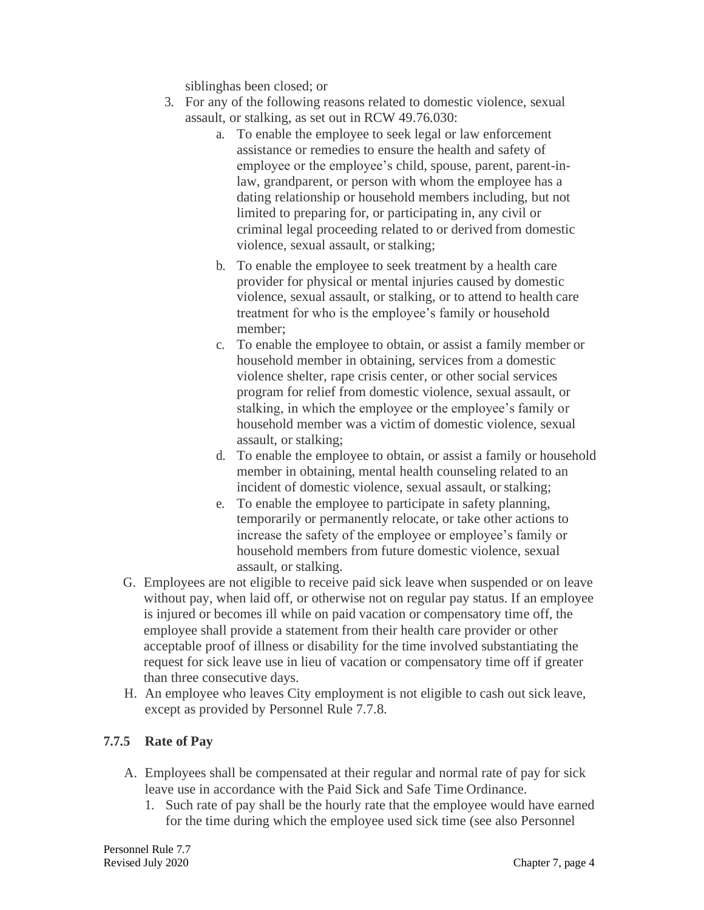siblinghas been closed; or

- 3. For any of the following reasons related to domestic violence, sexual assault, or stalking, as set out in RCW 49.76.030:
	- a. To enable the employee to seek legal or law enforcement assistance or remedies to ensure the health and safety of employee or the employee's child, spouse, parent, parent-inlaw, grandparent, or person with whom the employee has a dating relationship or household members including, but not limited to preparing for, or participating in, any civil or criminal legal proceeding related to or derived from domestic violence, sexual assault, or stalking;
	- b. To enable the employee to seek treatment by a health care provider for physical or mental injuries caused by domestic violence, sexual assault, or stalking, or to attend to health care treatment for who is the employee's family or household member;
	- c. To enable the employee to obtain, or assist a family member or household member in obtaining, services from a domestic violence shelter, rape crisis center, or other social services program for relief from domestic violence, sexual assault, or stalking, in which the employee or the employee's family or household member was a victim of domestic violence, sexual assault, or stalking;
	- d. To enable the employee to obtain, or assist a family or household member in obtaining, mental health counseling related to an incident of domestic violence, sexual assault, or stalking;
	- e. To enable the employee to participate in safety planning, temporarily or permanently relocate, or take other actions to increase the safety of the employee or employee's family or household members from future domestic violence, sexual assault, or stalking.
- G. Employees are not eligible to receive paid sick leave when suspended or on leave without pay, when laid off, or otherwise not on regular pay status. If an employee is injured or becomes ill while on paid vacation or compensatory time off, the employee shall provide a statement from their health care provider or other acceptable proof of illness or disability for the time involved substantiating the request for sick leave use in lieu of vacation or compensatory time off if greater than three consecutive days.
- H. An employee who leaves City employment is not eligible to cash out sick leave, except as provided by Personnel Rule 7.7.8.

# **7.7.5 Rate of Pay**

- A. Employees shall be compensated at their regular and normal rate of pay for sick leave use in accordance with the Paid Sick and Safe Time Ordinance.
	- 1. Such rate of pay shall be the hourly rate that the employee would have earned for the time during which the employee used sick time (see also Personnel

Personnel Rule 7.7 Revised July 2020 Chapter 7, page 4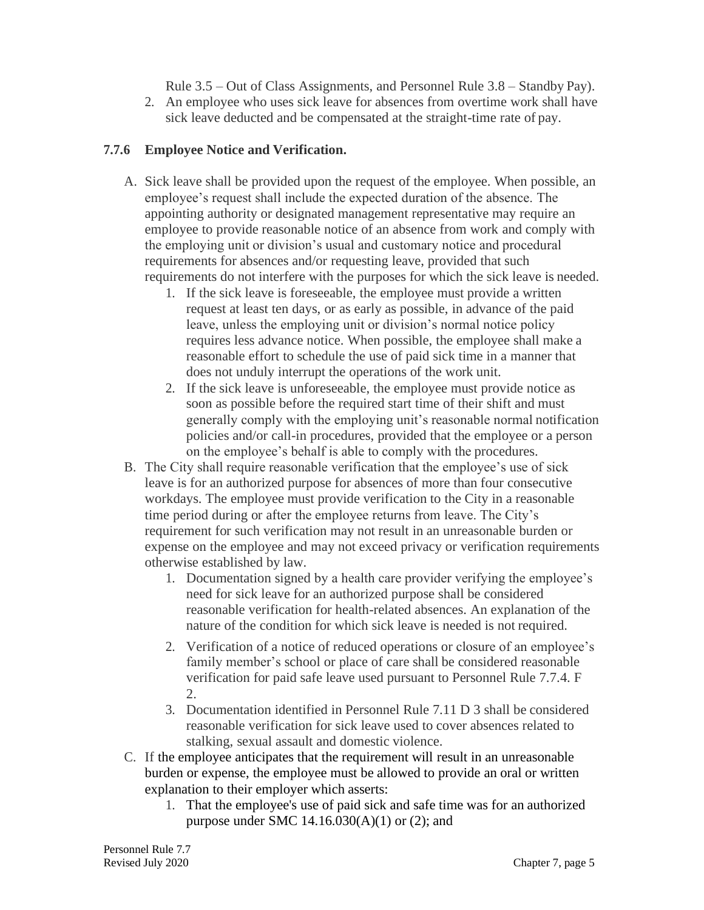Rule 3.5 – Out of Class Assignments, and Personnel Rule 3.8 – Standby Pay).

2. An employee who uses sick leave for absences from overtime work shall have sick leave deducted and be compensated at the straight-time rate of pay.

### **7.7.6 Employee Notice and Verification.**

- A. Sick leave shall be provided upon the request of the employee. When possible, an employee's request shall include the expected duration of the absence. The appointing authority or designated management representative may require an employee to provide reasonable notice of an absence from work and comply with the employing unit or division's usual and customary notice and procedural requirements for absences and/or requesting leave, provided that such requirements do not interfere with the purposes for which the sick leave is needed.
	- 1. If the sick leave is foreseeable, the employee must provide a written request at least ten days, or as early as possible, in advance of the paid leave, unless the employing unit or division's normal notice policy requires less advance notice. When possible, the employee shall make a reasonable effort to schedule the use of paid sick time in a manner that does not unduly interrupt the operations of the work unit.
	- 2. If the sick leave is unforeseeable, the employee must provide notice as soon as possible before the required start time of their shift and must generally comply with the employing unit's reasonable normal notification policies and/or call-in procedures, provided that the employee or a person on the employee's behalf is able to comply with the procedures.
- B. The City shall require reasonable verification that the employee's use of sick leave is for an authorized purpose for absences of more than four consecutive workdays. The employee must provide verification to the City in a reasonable time period during or after the employee returns from leave. The City's requirement for such verification may not result in an unreasonable burden or expense on the employee and may not exceed privacy or verification requirements otherwise established by law.
	- 1. Documentation signed by a health care provider verifying the employee's need for sick leave for an authorized purpose shall be considered reasonable verification for health-related absences. An explanation of the nature of the condition for which sick leave is needed is not required.
	- 2. Verification of a notice of reduced operations or closure of an employee's family member's school or place of care shall be considered reasonable verification for paid safe leave used pursuant to Personnel Rule 7.7.4. F 2.
	- 3. Documentation identified in Personnel Rule 7.11 D 3 shall be considered reasonable verification for sick leave used to cover absences related to stalking, sexual assault and domestic violence.
- C. If the employee anticipates that the requirement will result in an unreasonable burden or expense, the employee must be allowed to provide an oral or written explanation to their employer which asserts:
	- 1. That the employee's use of paid sick and safe time was for an authorized purpose under SMC 14.16.030(A)(1) or (2); and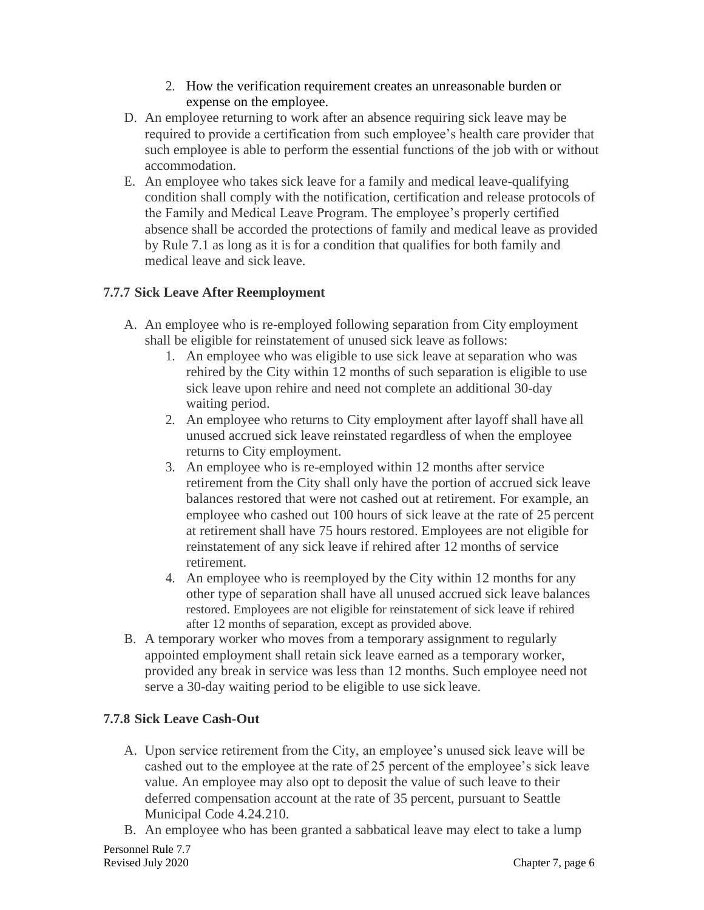- 2. How the verification requirement creates an unreasonable burden or expense on the employee.
- D. An employee returning to work after an absence requiring sick leave may be required to provide a certification from such employee's health care provider that such employee is able to perform the essential functions of the job with or without accommodation.
- E. An employee who takes sick leave for a family and medical leave-qualifying condition shall comply with the notification, certification and release protocols of the Family and Medical Leave Program. The employee's properly certified absence shall be accorded the protections of family and medical leave as provided by Rule 7.1 as long as it is for a condition that qualifies for both family and medical leave and sick leave.

# **7.7.7 Sick Leave After Reemployment**

- A. An employee who is re-employed following separation from City employment shall be eligible for reinstatement of unused sick leave asfollows:
	- 1. An employee who was eligible to use sick leave at separation who was rehired by the City within 12 months of such separation is eligible to use sick leave upon rehire and need not complete an additional 30-day waiting period.
	- 2. An employee who returns to City employment after layoff shall have all unused accrued sick leave reinstated regardless of when the employee returns to City employment.
	- 3. An employee who is re-employed within 12 months after service retirement from the City shall only have the portion of accrued sick leave balances restored that were not cashed out at retirement. For example, an employee who cashed out 100 hours of sick leave at the rate of 25 percent at retirement shall have 75 hours restored. Employees are not eligible for reinstatement of any sick leave if rehired after 12 months of service retirement.
	- 4. An employee who is reemployed by the City within 12 months for any other type of separation shall have all unused accrued sick leave balances restored. Employees are not eligible for reinstatement of sick leave if rehired after 12 months of separation, except as provided above.
- B. A temporary worker who moves from a temporary assignment to regularly appointed employment shall retain sick leave earned as a temporary worker, provided any break in service was less than 12 months. Such employee need not serve a 30-day waiting period to be eligible to use sick leave.

# **7.7.8 Sick Leave Cash-Out**

- A. Upon service retirement from the City, an employee's unused sick leave will be cashed out to the employee at the rate of 25 percent of the employee's sick leave value. An employee may also opt to deposit the value of such leave to their deferred compensation account at the rate of 35 percent, pursuant to Seattle Municipal Code 4.24.210.
- B. An employee who has been granted a sabbatical leave may elect to take a lump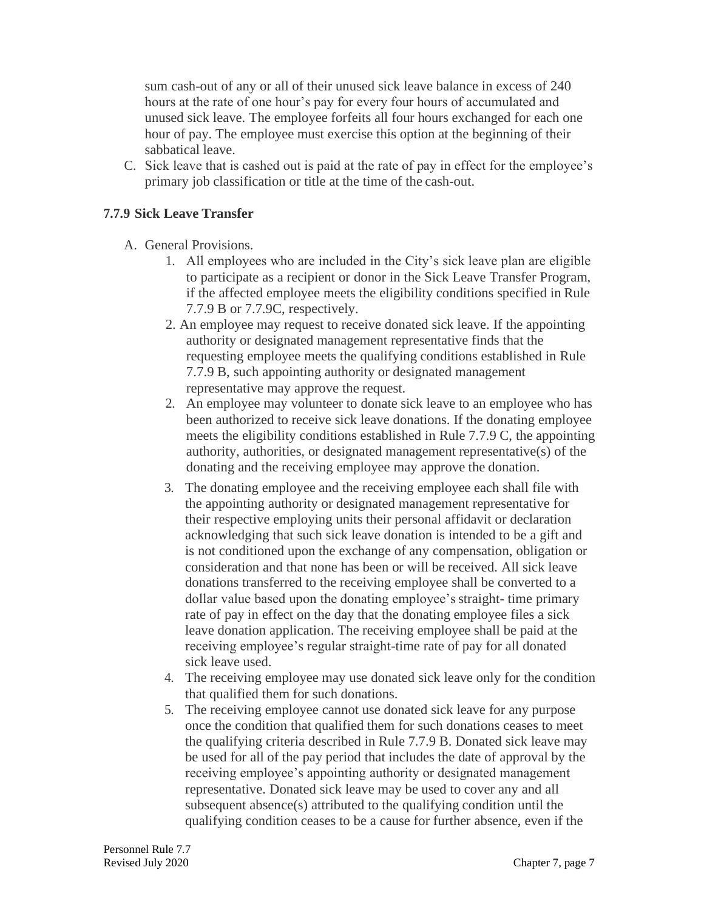sum cash-out of any or all of their unused sick leave balance in excess of 240 hours at the rate of one hour's pay for every four hours of accumulated and unused sick leave. The employee forfeits all four hours exchanged for each one hour of pay. The employee must exercise this option at the beginning of their sabbatical leave.

C. Sick leave that is cashed out is paid at the rate of pay in effect for the employee's primary job classification or title at the time of the cash-out.

### **7.7.9 Sick Leave Transfer**

- A. General Provisions.
	- 1. All employees who are included in the City's sick leave plan are eligible to participate as a recipient or donor in the Sick Leave Transfer Program, if the affected employee meets the eligibility conditions specified in Rule 7.7.9 B or 7.7.9C, respectively.
	- 2. An employee may request to receive donated sick leave. If the appointing authority or designated management representative finds that the requesting employee meets the qualifying conditions established in Rule 7.7.9 B, such appointing authority or designated management representative may approve the request.
	- 2. An employee may volunteer to donate sick leave to an employee who has been authorized to receive sick leave donations. If the donating employee meets the eligibility conditions established in Rule 7.7.9 C, the appointing authority, authorities, or designated management representative(s) of the donating and the receiving employee may approve the donation.
	- 3. The donating employee and the receiving employee each shall file with the appointing authority or designated management representative for their respective employing units their personal affidavit or declaration acknowledging that such sick leave donation is intended to be a gift and is not conditioned upon the exchange of any compensation, obligation or consideration and that none has been or will be received. All sick leave donations transferred to the receiving employee shall be converted to a dollar value based upon the donating employee's straight- time primary rate of pay in effect on the day that the donating employee files a sick leave donation application. The receiving employee shall be paid at the receiving employee's regular straight-time rate of pay for all donated sick leave used.
	- 4. The receiving employee may use donated sick leave only for the condition that qualified them for such donations.
	- 5. The receiving employee cannot use donated sick leave for any purpose once the condition that qualified them for such donations ceases to meet the qualifying criteria described in Rule 7.7.9 B. Donated sick leave may be used for all of the pay period that includes the date of approval by the receiving employee's appointing authority or designated management representative. Donated sick leave may be used to cover any and all subsequent absence(s) attributed to the qualifying condition until the qualifying condition ceases to be a cause for further absence, even if the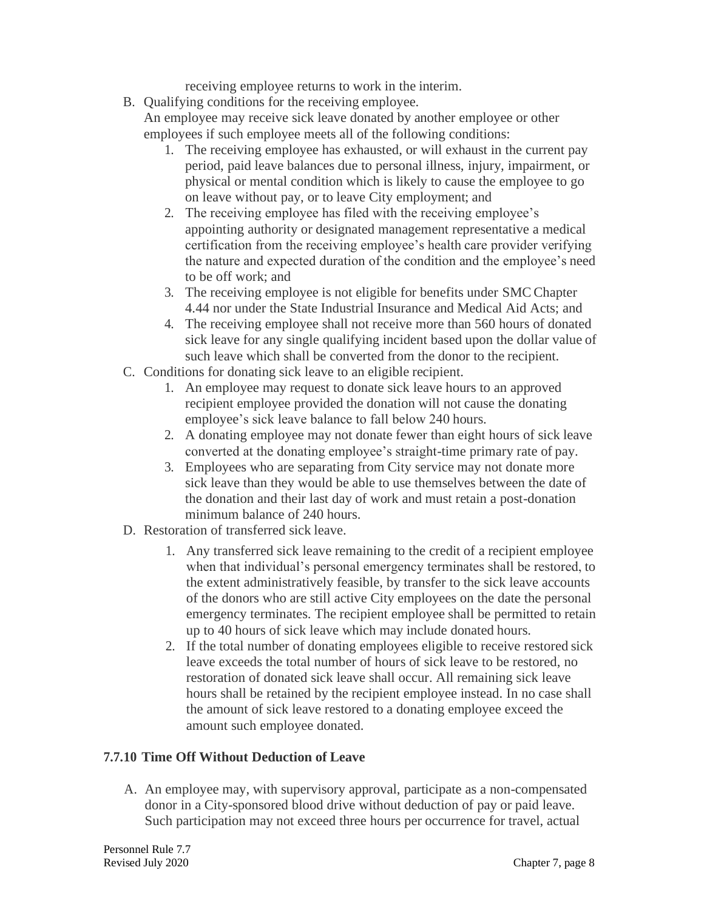receiving employee returns to work in the interim.

B. Qualifying conditions for the receiving employee.

An employee may receive sick leave donated by another employee or other employees if such employee meets all of the following conditions:

- 1. The receiving employee has exhausted, or will exhaust in the current pay period, paid leave balances due to personal illness, injury, impairment, or physical or mental condition which is likely to cause the employee to go on leave without pay, or to leave City employment; and
- 2. The receiving employee has filed with the receiving employee's appointing authority or designated management representative a medical certification from the receiving employee's health care provider verifying the nature and expected duration of the condition and the employee's need to be off work; and
- 3. The receiving employee is not eligible for benefits under SMC Chapter 4.44 nor under the State Industrial Insurance and Medical Aid Acts; and
- 4. The receiving employee shall not receive more than 560 hours of donated sick leave for any single qualifying incident based upon the dollar value of such leave which shall be converted from the donor to the recipient.
- C. Conditions for donating sick leave to an eligible recipient.
	- 1. An employee may request to donate sick leave hours to an approved recipient employee provided the donation will not cause the donating employee's sick leave balance to fall below 240 hours.
	- 2. A donating employee may not donate fewer than eight hours of sick leave converted at the donating employee's straight-time primary rate of pay.
	- 3. Employees who are separating from City service may not donate more sick leave than they would be able to use themselves between the date of the donation and their last day of work and must retain a post-donation minimum balance of 240 hours.
- D. Restoration of transferred sick leave.
	- 1. Any transferred sick leave remaining to the credit of a recipient employee when that individual's personal emergency terminates shall be restored, to the extent administratively feasible, by transfer to the sick leave accounts of the donors who are still active City employees on the date the personal emergency terminates. The recipient employee shall be permitted to retain up to 40 hours of sick leave which may include donated hours.
	- 2. If the total number of donating employees eligible to receive restored sick leave exceeds the total number of hours of sick leave to be restored, no restoration of donated sick leave shall occur. All remaining sick leave hours shall be retained by the recipient employee instead. In no case shall the amount of sick leave restored to a donating employee exceed the amount such employee donated.

#### **7.7.10 Time Off Without Deduction of Leave**

A. An employee may, with supervisory approval, participate as a non-compensated donor in a City-sponsored blood drive without deduction of pay or paid leave. Such participation may not exceed three hours per occurrence for travel, actual

Personnel Rule 7.7 Revised July 2020 Chapter 7, page 8